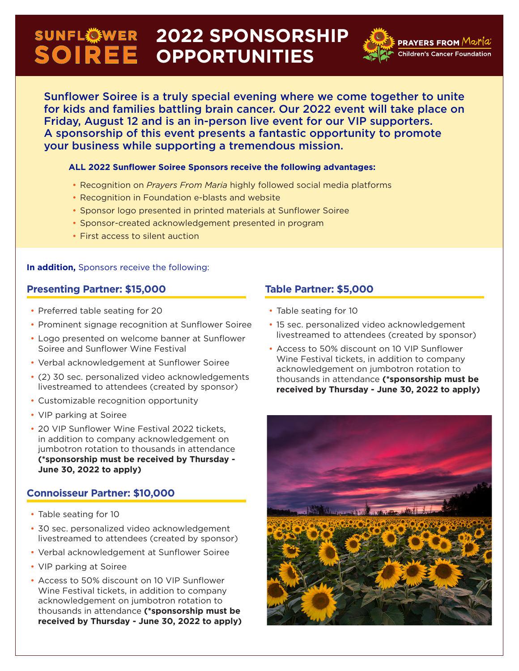# **2022 SPONSORSHIP OPPORTUNITIES**



Sunflower Soiree is a truly special evening where we come together to unite for kids and families battling brain cancer. Our 2022 event will take place on Friday, August 12 and is an in-person live event for our VIP supporters. A sponsorship of this event presents a fantastic opportunity to promote your business while supporting a tremendous mission.

#### **ALL 2022 Sunflower Soiree Sponsors receive the following advantages:**

- Recognition on *Prayers From Maria* highly followed social media platforms
- Recognition in Foundation e-blasts and website
- Sponsor logo presented in printed materials at Sunflower Soiree
- Sponsor-created acknowledgement presented in program
- First access to silent auction

#### **In addition,** Sponsors receive the following:

### **Presenting Partner: \$15,000**

- Preferred table seating for 20
- Prominent signage recognition at Sunflower Soiree
- Logo presented on welcome banner at Sunflower Soiree and Sunflower Wine Festival
- Verbal acknowledgement at Sunflower Soiree
- (2) 30 sec. personalized video acknowledgements livestreamed to attendees (created by sponsor)
- Customizable recognition opportunity
- VIP parking at Soiree
- 20 VIP Sunflower Wine Festival 2022 tickets, in addition to company acknowledgement on jumbotron rotation to thousands in attendance **(\*sponsorship must be received by Thursday - June 30, 2022 to apply)**

### **Connoisseur Partner: \$10,000**

- Table seating for 10
- 30 sec. personalized video acknowledgement livestreamed to attendees (created by sponsor)
- Verbal acknowledgement at Sunflower Soiree
- VIP parking at Soiree
- Access to 50% discount on 10 VIP Sunflower Wine Festival tickets, in addition to company acknowledgement on jumbotron rotation to thousands in attendance **(\*sponsorship must be received by Thursday - June 30, 2022 to apply)**

## **Table Partner: \$5,000**

- Table seating for 10
- 15 sec. personalized video acknowledgement livestreamed to attendees (created by sponsor)
- Access to 50% discount on 10 VIP Sunflower Wine Festival tickets, in addition to company acknowledgement on jumbotron rotation to thousands in attendance **(\*sponsorship must be received by Thursday - June 30, 2022 to apply)**

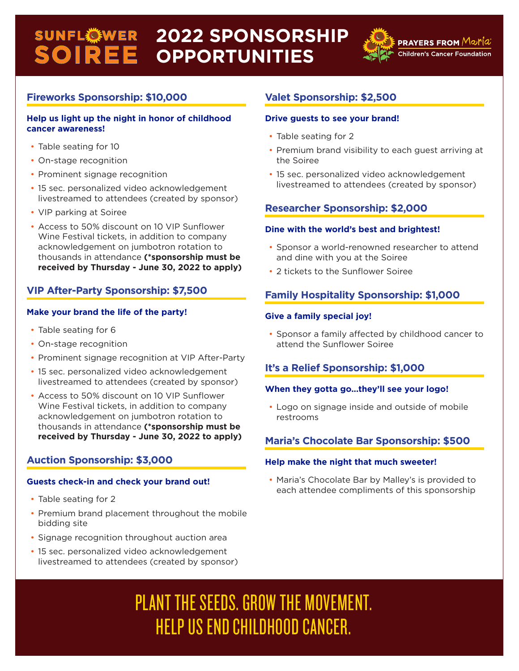## **2022 SPONSORSHIP OPPORTUNITIES**



**PRAYERS FROM** Maria **Children's Cancer Foundation** 

## **Fireworks Sponsorship: \$10,000**

#### **Help us light up the night in honor of childhood cancer awareness!**

- Table seating for 10
- On-stage recognition
- Prominent signage recognition
- 15 sec. personalized video acknowledgement livestreamed to attendees (created by sponsor)
- VIP parking at Soiree
- Access to 50% discount on 10 VIP Sunflower Wine Festival tickets, in addition to company acknowledgement on jumbotron rotation to thousands in attendance **(\*sponsorship must be received by Thursday - June 30, 2022 to apply)**

## **VIP After-Party Sponsorship: \$7,500**

#### **Make your brand the life of the party!**

- Table seating for 6
- On-stage recognition
- Prominent signage recognition at VIP After-Party
- 15 sec. personalized video acknowledgement livestreamed to attendees (created by sponsor)
- Access to 50% discount on 10 VIP Sunflower Wine Festival tickets, in addition to company acknowledgement on jumbotron rotation to thousands in attendance **(\*sponsorship must be received by Thursday - June 30, 2022 to apply)**

## **Auction Sponsorship: \$3,000**

#### **Guests check-in and check your brand out!**

- Table seating for 2
- Premium brand placement throughout the mobile bidding site
- Signage recognition throughout auction area
- 15 sec. personalized video acknowledgement livestreamed to attendees (created by sponsor)

## **Valet Sponsorship: \$2,500**

#### **Drive guests to see your brand!**

- Table seating for 2
- Premium brand visibility to each guest arriving at the Soiree
- 15 sec. personalized video acknowledgement livestreamed to attendees (created by sponsor)

## **Researcher Sponsorship: \$2,000**

#### **Dine with the world's best and brightest!**

- Sponsor a world-renowned researcher to attend and dine with you at the Soiree
- 2 tickets to the Sunflower Soiree

## **Family Hospitality Sponsorship: \$1,000**

#### **Give a family special joy!**

• Sponsor a family affected by childhood cancer to attend the Sunflower Soiree

### **It's a Relief Sponsorship: \$1,000**

#### **When they gotta go...they'll see your logo!**

• Logo on signage inside and outside of mobile restrooms

## **Maria's Chocolate Bar Sponsorship: \$500**

#### **Help make the night that much sweeter!**

• Maria's Chocolate Bar by Malley's is provided to each attendee compliments of this sponsorship

# PLANT THE SEEDS. GROW THE MOVEMENT. HELP US END CHILDHOOD CANCER.